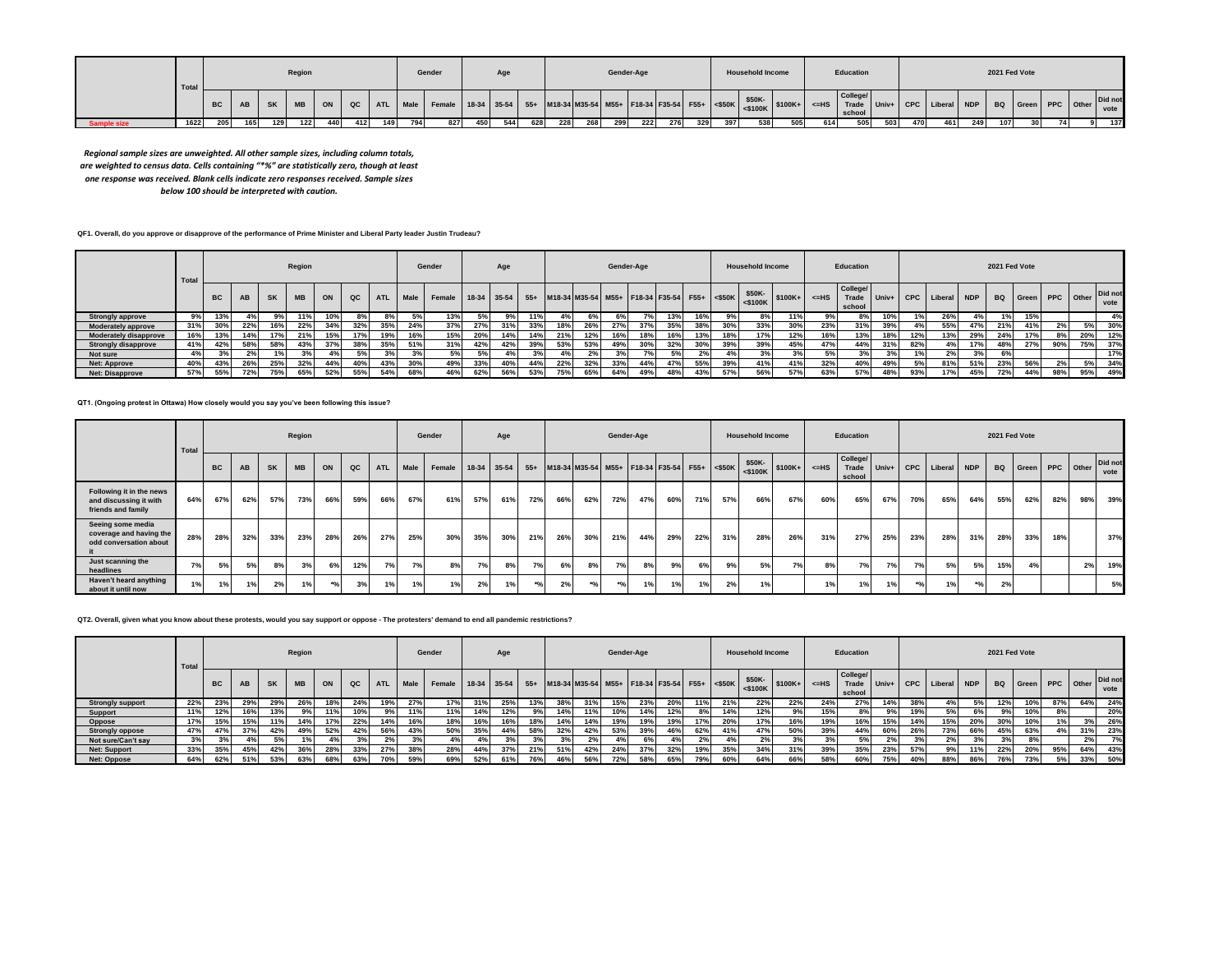|  | Total |           |     |           | Region    |     |     |     |     | Gender                                                                                                                                                      |     |     |     |     |     |      | Gender-Age |     |     |     | <b>Household Income</b> |     |     | Education |      |     |     |     | 2021 Fed Vote |      |  |     |
|--|-------|-----------|-----|-----------|-----------|-----|-----|-----|-----|-------------------------------------------------------------------------------------------------------------------------------------------------------------|-----|-----|-----|-----|-----|------|------------|-----|-----|-----|-------------------------|-----|-----|-----------|------|-----|-----|-----|---------------|------|--|-----|
|  |       | <b>BC</b> | AB  | <b>SK</b> | <b>MB</b> |     |     |     |     | ON QC ATL Male Female 18-34 35-54 55+ M18-34 M35-54 M55+ F18-34 F35-54 F55+ SSOK \$50K S100K+ <=HS Grueger Univ+ CPC Liberal NDP BQ Green PPC Other Did not |     |     |     |     |     |      |            |     |     |     |                         |     |     | College/  |      |     |     |     |               |      |  |     |
|  | 1622  | 205       | 165 | 129       | 122       | 440 | 412 | 149 | 794 | 827                                                                                                                                                         | 450 | 544 | 628 | 228 | 268 | 2991 | 222        | 276 | 329 | 397 | 538                     | 505 | 614 | 505       | 5031 | 470 | 461 | 249 | 107           | 30 I |  | 137 |

*Regional sample sizes are unweighted. All other sample sizes, including column totals, are weighted to census data. Cells containing "\*%" are statistically zero, though at least one response was received. Blank cells indicate zero responses received. Sample sizes below 100 should be interpreted with caution.*

## **QF1. Overall, do you approve or disapprove of the performance of Prime Minister and Liberal Party leader Justin Trudeau?**

|                              | Total |           |           |           | Region    |     |     |            |      | Gender                                                                                  |     | Age |     |     |     | Gender-Age |     |     |     |     | <b>Household Income</b>                 |     |         | Education                   |     |     |                       |     | 2021 Fed Vote |                           |     |     |                 |
|------------------------------|-------|-----------|-----------|-----------|-----------|-----|-----|------------|------|-----------------------------------------------------------------------------------------|-----|-----|-----|-----|-----|------------|-----|-----|-----|-----|-----------------------------------------|-----|---------|-----------------------------|-----|-----|-----------------------|-----|---------------|---------------------------|-----|-----|-----------------|
|                              |       | <b>BC</b> | <b>AB</b> | <b>SK</b> | <b>MB</b> | ON  | QC  | <b>ATL</b> | Male | Female   18-34   35-54   55+   M18-34   M35-54   M55+   F18-34   F35-54   F55+   <\$50K |     |     |     |     |     |            |     |     |     |     | \$50K-<br>$ \cdot$ \$100K \\$100K+ \\ - |     | $<=$ HS | College/<br>Trade<br>school |     |     | Univ+ CPC Liberal NDP |     |               | <b>BQ</b> Green PPC Other |     |     | Did not<br>vote |
| <b>Strongly approve</b>      | 9%    | 13%       | 4%        |           | 11%       | 10% | 8%  |            |      | 13%                                                                                     | 5%  | 9%  | 11% |     |     |            |     | 13% | 16% |     | 8%                                      | 11% |         | 8%                          |     |     | 26%                   | 4%  | 1%            | 15%                       |     |     | 4%              |
| <b>Moderately approve</b>    | 31%   | 30%       | 22%       | 16%       | 22%       | 34% | 32% | 35%        | 24%  | 37%                                                                                     | 27% | 31% | 33% | 18% | 26% | 27%        | 37% | 35% | 38% | 30% | 33%                                     | 30% | 23%     | 31%                         | 39% |     | 55%                   | 47% | 21%           | 41%                       | 2%  | 5%  | 30%             |
| <b>Moderately disapprove</b> |       | 13%       | 14%       | 17%       | 21%       | 15% | 17% |            | 16%  | 15%                                                                                     | 20% | 14% | 14% | 21% | 12% |            | 18% | 16% | 13% | 18% | 17%                                     | 12% | 16%     | 13%                         | 18% | 12% | 13%                   | 29% | 24%           | 17%                       | 8%  | 20% | 12%             |
| <b>Strongly disapprove</b>   | 41%   | 42%       | 58%       | 58%       | 43%       | 37% | 38% | 35%        | 51%  | 31%                                                                                     | 42% | 42% | 39% | 53% | 53% | 49%        | 30% | 32% | 30% | 39% | 39%                                     | 45% | 47%     | 44%                         | 31% | 82% |                       | 17% | 48%           | 27%                       | 90% | 75% | 37%             |
| Not sure                     | 4%    | 3%        | 2%        |           | 3%        | 4%  | 5%  | 20/        |      | 5%                                                                                      | 5%  | 4%  | 3%  |     | 2%  |            | 7%  | 5%  | 2%  | 4%  | 3%                                      | 3%  | 5%      | 3%                          | 3%  |     | 2%                    | 3%  | 6%            |                           |     |     | 17%             |
| <b>Net: Approve</b>          | 40%   | 43%       | 26%       | 25%       | 32%       | 44% |     | 43%        | 30%  | 49%                                                                                     | 33% | 40% | 44% | 22% | 32% | 33%        | 44% | 47% | 55% | 39% | 41%                                     | 41% | 32%     | 40%                         | 49% | 5%  | 81%                   | 51% | 23%           | 56%                       | 2%  | 5%  | 34%             |
| <b>Net: Disapprove</b>       | 57%   | 55%       | 72%       | 75%       | 65%       | 52% | 55% | 54%        | 68%  | 46%                                                                                     | 62% | 56% | 53% | 75% | 65% | 64%        | 49% | 48% | 43% | 57% | 56%                                     |     | 63%     | 57%                         | 48% | 93% | 17%                   | 45% | 72%           | 44%                       | 98% | 95% | 49%             |

### **QT1. (Ongoing protest in Ottawa) How closely would you say you've been following this issue?**

|                                                                          | Total |           |     |           | Region    |       |     |            |      | Gender |     | Age         |       |     |                                                  | Gender-Age |     |     |     |     | <b>Household Income</b>                              |     |           | Education                   |     |      |                       |       | 2021 Fed Vote |       |           |     |                 |
|--------------------------------------------------------------------------|-------|-----------|-----|-----------|-----------|-------|-----|------------|------|--------|-----|-------------|-------|-----|--------------------------------------------------|------------|-----|-----|-----|-----|------------------------------------------------------|-----|-----------|-----------------------------|-----|------|-----------------------|-------|---------------|-------|-----------|-----|-----------------|
|                                                                          |       | <b>BC</b> | AB  | <b>SK</b> | <b>MB</b> | ON    | QC  | <b>ATL</b> | Male | Female |     | 18-34 35-54 |       |     | 55+ M18-34 M35-54 M55+ F18-34 F35-54 F55+ <\$50K |            |     |     |     |     | \$50K-<br>$-10K$ $\leq$ $5100K$ $\leq$ $100K$ $\leq$ |     | $\leq$ HS | College/<br>Trade<br>school |     |      | Univ+ CPC Liberal NDP |       | <b>BQ</b>     | Green | PPC Other |     | Did not<br>vote |
| Following it in the news<br>and discussing it with<br>friends and family | 64%   | 67%       | 62% | 57%       | 73%       | 66%   | 59% | 66%        | 67%  | 61%    | 57% | 61%         | 72%   | 66% | 62%                                              | 72%        | 47% | 60% | 71% | 57% | 66%                                                  | 67% | 60%       | 65%                         | 67% | 70%  | 65%                   | 64%   | 55%           | 62%   | 82%       | 98% | 39%             |
| Seeing some media<br>coverage and having the<br>odd conversation about   | 28%   | 28%       | 32% | 33%       | 23%       | 28%   | 26% | 27%        | 25%  | 30%    | 35% | 30%         | 21%   | 26% | 30%                                              | 21%        | 44% | 29% | 22% | 31% | 28%                                                  | 26% | 31%       | 27%                         | 25% | 23%  | 28%                   | 31%   | 28%           | 33%   | 18%       |     | 37%             |
| Just scanning the<br>headlines                                           | 7%    | 5%        | 5%  | 8%        | 3%        | 6%    | 12% | 7%         | 7%   | 8%     | 7%  | 8%          | 7%    | 6%  | 8%                                               | 7% l       | 8%  | 9%  | 6%  | 9%  | 5%                                                   | 7%  | 8%        | 7%                          | 7%  | 7%   | 5%                    | 5%    | 15%           | 4%    |           | 2%  | 19%             |
| Haven't heard anything<br>about it until now                             | 1%    | 1%        | 1%  | 2%        | 1%        | $*$ % | 3%  | 1%         | 1%   | 1%     | 2%  | 1%          | $^*%$ | 2%  |                                                  | $^{*9/1}$  | 1%  | 1%  | 1%  | 2%  | 1%                                                   |     | 1%        | 1%                          | 1%  | $*o$ | 1%                    | $*$ % | 2%            |       |           |     | 5%              |

#### **QT2. Overall, given what you know about these protests, would you say support or oppose - The protesters' demand to end all pandemic restrictions?**

|                         | Total |           |           |           | Region    |     |               |            |      | Gender |     | Age         |     |     |                                                  | Gender-Age |     |     |     |     | <b>Household Income</b>                                 |     |         | Education                   |     |     |                   |            | 2021 Fed Vote |                    |     |     |                 |
|-------------------------|-------|-----------|-----------|-----------|-----------|-----|---------------|------------|------|--------|-----|-------------|-----|-----|--------------------------------------------------|------------|-----|-----|-----|-----|---------------------------------------------------------|-----|---------|-----------------------------|-----|-----|-------------------|------------|---------------|--------------------|-----|-----|-----------------|
|                         |       | <b>BC</b> | <b>AB</b> | <b>SK</b> | <b>MB</b> | ON  | $_{\alpha c}$ | <b>ATL</b> | Male | Female |     | 18-34 35-54 |     |     | 55+ M18-34 M35-54 M55+ F18-34 F35-54 F55+ <\$50K |            |     |     |     |     | \$50K-<br>$\left  \frac{1}{5100K} \right $ \$100K+   <= |     | $<=$ HS | College/<br>Trade<br>school |     |     | Univ+ CPC Liberal | <b>NDP</b> |               | BQ Green PPC Other |     |     | Did not<br>vote |
| <b>Strongly support</b> | 22%   | 23%       | 29%       | 29%       | 26%       |     | 24%           |            | 27%  | 17%    | 31% | 25%         | 13% | 38% | 31%                                              | 15%        | 23% | 20% | 11% | 21% | 22%                                                     | 22% | 24%     | 27%                         | 14% | 38% | 4%                | 5%         | 12%           | 10%                | 87% | 64% | 24%             |
| Support                 |       | 12%       | 16%       | 13%       | 9%        | 11% | 10%           |            | 11%  | 11%    | 14% | 12%         | 9%  | 14% | 11%                                              | 10%        | 14% | 12% | 8%  | 14% | 12%                                                     | 9%  | 15%     |                             | 9%  | 19% | 5%                | 6%         | 9%            | 10%                |     |     | 20%             |
| Oppose                  |       | 15%       | 15%       | 11%       | 14%       | 17% | 22%           | 14%        | 16%  | 18%    | 16% | 16%         | 18% | 14% | 14%                                              | 19%        | 19% | 19% | 17% | 20% | 17%                                                     | 16% | 19%     | 16%                         | 15% | 14% | 15%               | 20%        | 30%           | 10%                | 1%  | 3%  | 26%             |
| <b>Strongly oppose</b>  | 47%   | 47%       | 37%       | 42%       | 49%       | 52% | 42%           | 56%        | 43%  | 50%    | 35% | 44%         | 58% | 32% | 42%                                              | 53%        | 39% | 46% | 62% | 41% | 47%                                                     | 50% | 39%     | 44%                         | 60% | 26% | 73%               | 66%        | 45%           | 63%                | 4%  | 31% | 23%             |
| Not sure/Can't say      | 3%    |           | 4%        | 5%        | 1%        | 4%  | 3%            | 2%         | 3%   | 4%     | 4%  | 3%          | 3%  | 3%  | 2%                                               | 4%         |     | 4%  | 2%  |     | 2%                                                      | 3%  | 3%      | 5%                          | 2%  | 3%  | 2%                | 20         | 3%            |                    |     | 2%  | 7%              |
| <b>Net: Support</b>     | 33%   | 35%       | 45%       | 42%       | 36%       | 28% | 33%           | 27%        | 38%  | 28%    | 44% | 37%         | 21% | 51% | 42%                                              | 24%        | 37% | 32% | 19% | 35% | 34%                                                     | 31% | 39%     | 35%                         | 23% | 57% | 9%                | 11%        | 22%           | 20%                | 95% | 64% | 43%             |
| <b>Net: Oppose</b>      | 64%   | 62%       | 51%       | 53%       | 63%       | 68% | 63%           | 70%        | 59%  | 69%    | 52% | 61%         | 76% |     | 56%                                              | 72%        | 58% | 65% | 79% | 60% | 64%                                                     | 66% | 58%     | 60%                         | 75% | 40% | 88%               | 86%        | 76%           | 73%                | 5%  | 33% | 50%             |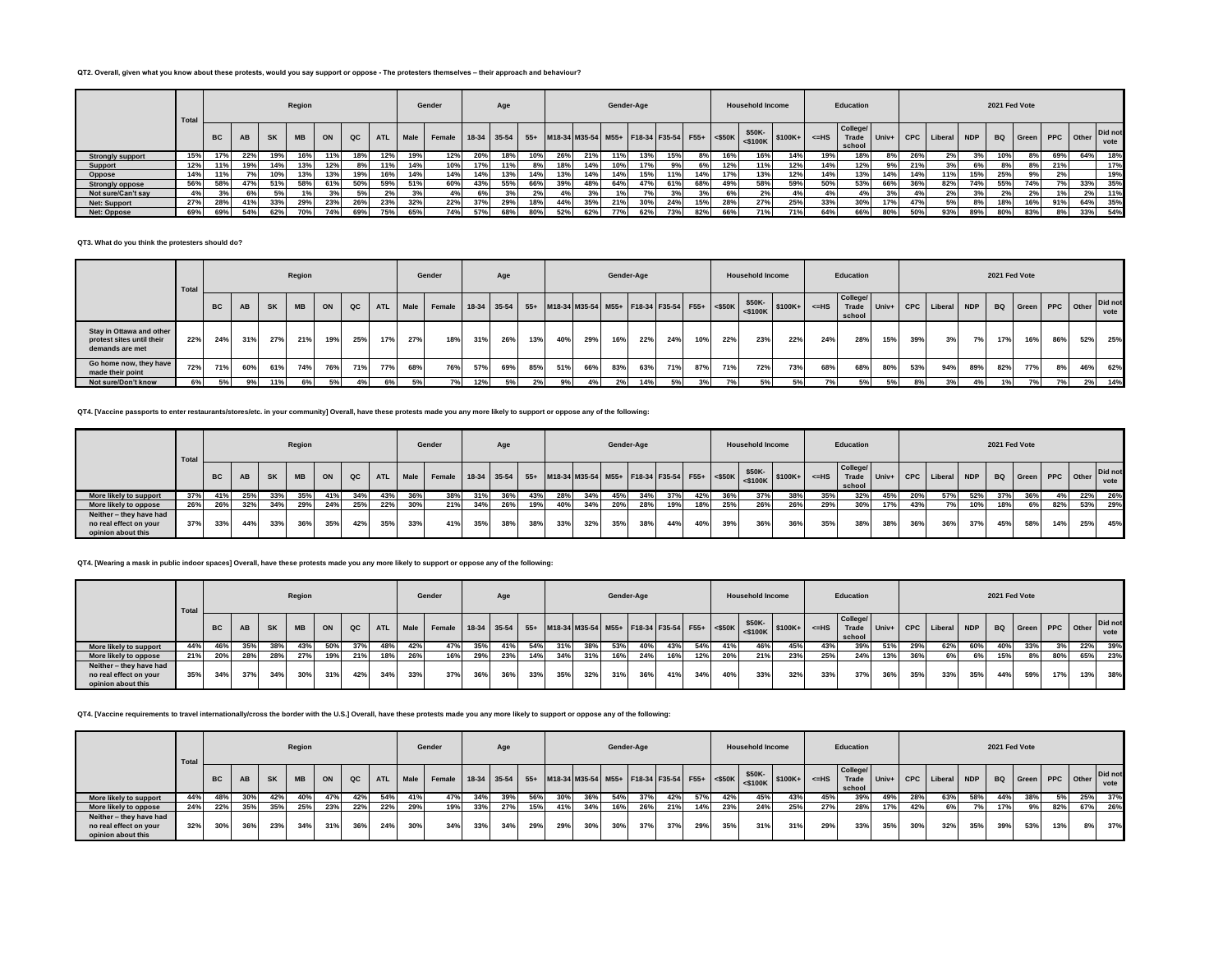### **QT2. Overall, given what you know about these protests, would you say support or oppose - The protesters themselves – their approach and behaviour?**

|                         | Total |           |     |           | Region    |     |               |            |             | Gender             |     | Age |     |     |     | Gender-Age |     |                                                  |     |     | <b>Household Income</b> |     |         | Education                   |     |     |                   |            | 2021 Fed Vote |                    |       |     |                 |
|-------------------------|-------|-----------|-----|-----------|-----------|-----|---------------|------------|-------------|--------------------|-----|-----|-----|-----|-----|------------|-----|--------------------------------------------------|-----|-----|-------------------------|-----|---------|-----------------------------|-----|-----|-------------------|------------|---------------|--------------------|-------|-----|-----------------|
|                         |       | <b>BC</b> | AB  | <b>SK</b> | <b>MB</b> | ON  | $_{\alpha c}$ | <b>ATL</b> | <b>Male</b> | Female 18-34 35-54 |     |     |     |     |     |            |     | 55+ M18-34 M35-54 M55+ F18-34 F35-54 F55+ <\$50K |     |     | \$50K-<br>$5100K +$     |     | $<$ -HS | College/<br>Trade<br>school |     |     | Univ+ CPC Liberal | <b>NDP</b> |               | BQ Green PPC Other |       |     | Did not<br>vote |
| <b>Strongly support</b> | 15%   | 17%       | 22% | 19%       | 16%       | 11% | 18%           | 12%        | 19%         | 12%                | 20% | 18% | 10% | 26% | 21% | 11%        | 13% | 15%                                              | 8%  | 16% | 16%                     | 14% | 19%     | 18%                         | 8%  | 26% | 2%                |            | 10%           |                    | 69%   | 64% | 18%             |
| Support                 | 12%   | 11%       | 19% | 14%       | 13%       | 12% | 8%            |            | 14%         | 10%                | 17% | 11% | 8%  | 18% | 14% | 10%        | 17% | 9%                                               | 6%  | 12% | 11%                     | 12% | 14%     | 12%                         | 9%  | 21% | 3%                | 6%         |               |                    | 21%   |     | 17%             |
| Oppose                  | 14%   | 11%       | 7%  | 10%       | 13%       | 13% | 19%           |            | 14%         | 14%                | 14% | 13% | 14% | 13% | 14% | 14%        | 15% | 11%                                              | 14% | 17% | 13%                     | 12% | 14%     | 13%                         | 14% | 14% | 11%               | 15%        | 25%           | 9%                 |       |     | 19%             |
| <b>Strongly oppose</b>  | 56%   | 58%       | 47% | 51%       | 58%       | 61% | 50%           | 59%        | 51%         | 60%                | 43% | 55% | 66% | 39% | 48% | 64%        | 47% | 61%                                              | 68% | 49% | 58%                     | 59% | 50%     | 53%                         | 66% | 36% | 82%               | 74%        | 55%           | 74%                | 7%    | 33% | 35%             |
| Not sure/Can't say      | 4%    |           | 6%  | 5%        | 1%        |     | 5%            |            | 3%          | 4%                 | 6%  | 3%  | 2%  | 4%  | 3%  |            | 7%1 | 3%                                               | 3%  |     | 2%                      |     |         | 4%                          | 3%  | 4%  | 2%                | $\sim$     | 2%            | 2%                 | $1\%$ | 2%  | 11%             |
| <b>Net: Support</b>     | 27%   | 28%       | 41% | 33%       | 29%       | 23% | 26%           | 23%        | 32%         | 22%                | 37% | 29% | 18% | 44% | 35% | 21%        | 30% | 24%                                              | 15% | 28% | 27%                     | 25% | 33%     | 30%                         | 17% |     | 5%                | 8%         | 18%           | 16%                | 91%   | 64% | 35%             |
| Net: Oppose             | 69%   | 69%       | 54% | 62%       | 70%       | 74% | 69%           | 75% I      | 65%         | 74%                | 57% | 68% | 80% | 52% | 62% | 77%        | 62% | 73%                                              | 82% | 66% | 71%                     | 71% | 64%     | 66%                         | 80% | 50% | 93%               | 89%        | 80%           | 83%                | 8%    | 33% | 54%             |

## **QT3. What do you think the protesters should do?**

|                                                                          | Total |           |     |           | Region    |     |     |            |             | Gender                                                                                  |     | Age |     |     |     |     | Gender-Age |     |     |     | <b>Household Income</b>  |     |            | Education          |     |     |                             |     |     | 2021 Fed Vote      |     |     |                 |
|--------------------------------------------------------------------------|-------|-----------|-----|-----------|-----------|-----|-----|------------|-------------|-----------------------------------------------------------------------------------------|-----|-----|-----|-----|-----|-----|------------|-----|-----|-----|--------------------------|-----|------------|--------------------|-----|-----|-----------------------------|-----|-----|--------------------|-----|-----|-----------------|
|                                                                          |       | <b>BC</b> | AB  | <b>SK</b> | <b>MB</b> | ON  | QC  | <b>ATL</b> | <b>Male</b> | Female   18-34   35-54   55+   M18-34   M35-54   M55+   F18-34   F35-54   F55+   <\$50K |     |     |     |     |     |     |            |     |     |     | $$50K - $100K + $100K +$ |     | $\leq$ -HS | College/<br>school |     |     | Trade Univ+ CPC Liberal NDP |     |     | BQ Green PPC Other |     |     | Did not<br>vote |
| Stay in Ottawa and other<br>protest sites until their<br>demands are met | 22%   | 24%       | 31% | 27%       | 21%       | 19% | 25% | 17%        | 27%         | 18%                                                                                     | 31% | 26% | 13% | 40% | 29% | 16% | 22%        | 24% | 10% | 22% | 23%                      | 22% | 24%        | 28%                | 15% | 39% | 3%                          | 7%  | 17% | 16%                | 86% | 52% | 25%             |
| Go home now, they have<br>made their point                               | 72%   | 71%       | 60% | 61%       | 74%       | 76% | 71% | 77%        | 68%         | 76%                                                                                     | 57% | 69% | 85% | 51% | 66% | 83% | 63%        | 71% | 87% | 71% | 72%                      | 73% | 68%        | 68%                | 80% | 53% | 94%                         | 89% | 82% | 77%                | 8%  | 46% | 62%             |
| Not sure/Don't know                                                      |       | 5%        | 9%  | 11%       | 6%        | 5%  | 4%  | 6% a       | 5%          | 7%                                                                                      | 12% | 5%  | 2%  | 9%  | 4%  | 2%  | 14%        | 5%  | 3%  |     | 5%                       | 5%  | 7%         | 5%                 | 5%  | 8%  | 3%                          | 4%  | 1%  | 7%                 | 7%  | 2%  | 14%             |

**QT4. [Vaccine passports to enter restaurants/stores/etc. in your community] Overall, have these protests made you any more likely to support or oppose any of the following:**

|                                                                         | Total |           |     |           | Region    |     |     |            |      | Gender                                                                                  |     | Age |     |     |     |     | Gender-Age |     |     |     | <b>Household Income</b>  |     |         | Education                          |     |     |                       |     | 2021 Fed Vote |                    |     |     |                 |
|-------------------------------------------------------------------------|-------|-----------|-----|-----------|-----------|-----|-----|------------|------|-----------------------------------------------------------------------------------------|-----|-----|-----|-----|-----|-----|------------|-----|-----|-----|--------------------------|-----|---------|------------------------------------|-----|-----|-----------------------|-----|---------------|--------------------|-----|-----|-----------------|
|                                                                         |       | <b>BC</b> | AB  | <b>SK</b> | <b>MB</b> | ON  | QC  | <b>ATL</b> | Male | Female   18-34   35-54   55+   M18-34   M35-54   M55+   F18-34   F35-54   F55+   <\$50K |     |     |     |     |     |     |            |     |     |     | $$50K - $100K + $100K +$ |     | $<=$ HS | <b>College/</b><br>Trade<br>school |     |     | Univ+ CPC Liberal NDP |     |               | BQ Green PPC Other |     |     | Did not<br>vote |
| More likely to support                                                  | 37%   | 41%       | 25% | 33%       | 35%       | 41% | 34% | 43%        | 36%  | 38%                                                                                     | 31% | 36% | 43% | 28% | 34% | 45% | 34%        | 37% | 42% | 36% | 37%                      | 38% | 35%     | 32%                                | 45% | 20% | 57%                   | 52% | 37%           | 36%                | 4%  | 22% | 26%             |
| More likely to oppose                                                   | 26%   | 26%       | 32% | 34%       | 29%       | 24% | 25% | 22%        | 30%  | 21%                                                                                     | 34% | 26% | 19% | 40% | 34% | 20% | 28%        | 19% | 18% | 25% | 26%                      | 26% | 29%     | 30%                                | 17% | 43% | 7%                    | 10% | 18%           | 6%                 | 82% | 53% | 29%             |
| Neither - they have had<br>no real effect on your<br>opinion about this | 37%   | 33%       | 44% | 33%       | 36%       | 35% | 42% | 35%        | 33%  | 41%                                                                                     | 35% | 38% | 38% | 33% | 32% | 35% | 38%        | 44% | 40% | 39% | 36%                      | 36% | 35%     | 38%                                | 38% | 36% | 36%                   | 37% | 45%           | 58%                | 14% | 25% | 45%             |

### **QT4. [Wearing a mask in public indoor spaces] Overall, have these protests made you any more likely to support or oppose any of the following:**

|                                                                         | Total |           |     |           | Region    |     |     |            |             | Gender                                                                                  |     | Age |     |     |     |     | Gender-Age |     |     |     | <b>Household Income</b>      |     |         | Education                 |     |     |                             |     | 2021 Fed Vote |                    |     |     |                 |
|-------------------------------------------------------------------------|-------|-----------|-----|-----------|-----------|-----|-----|------------|-------------|-----------------------------------------------------------------------------------------|-----|-----|-----|-----|-----|-----|------------|-----|-----|-----|------------------------------|-----|---------|---------------------------|-----|-----|-----------------------------|-----|---------------|--------------------|-----|-----|-----------------|
|                                                                         |       | <b>BC</b> | AB  | <b>SK</b> | <b>MB</b> | ON  | QC  | <b>ATL</b> | <b>Male</b> | Female   18-34   35-54   55+   M18-34   M35-54   M55+   F18-34   F35-54   F55+   <\$50K |     |     |     |     |     |     |            |     |     |     | $\frac{$50K}{5100K}$ \$100K+ |     | $<=$ HS | <b>College/</b><br>school |     |     | Trade Univ+ CPC Liberal NDP |     |               | BQ Green PPC Other |     |     | Did not<br>vote |
| More likely to support                                                  | 44%   | 46%       | 35% | 38%       | 43%       | 50% | 37% | 48%        | 42%         | 47%                                                                                     | 35% | 41% | 54% | 31% | 38% | 53% | 40%        | 43% | 54% | 41% | 46%                          | 45% | 43%     | 39%                       | 51% | 29% | 62%                         | 60% | 40%           | 33%                | 3%  | 22% | 39%             |
| More likely to oppose                                                   | 21%   | 20%       | 28% | 28%       | 27%       | 19% | 21% |            | 18% 26%     | 16%                                                                                     | 29% | 23% | 14% | 34% | 31% | 16% | 24%        | 16% | 12% | 20% | 21%                          | 23% | 25%     | 24%                       | 13% | 36% | 6%                          | 6%  | 15%           | 8%                 | 80% | 65% | 23%             |
| Neither - they have had<br>no real effect on your<br>opinion about this | 35%   | 34%       | 37% | 34%       | 30%       | 31% | 42% | 34%        | 33%         | 37%                                                                                     | 36% | 36% | 33% | 35% | 32% | 31% | 36%        | 41% | 34% | 40% | 33%                          | 32% | 33%     | 37%                       | 36% | 35% | 33%                         | 35% | 44%           | 59%                | 17% | 13% | 38%             |

#### **QT4. [Vaccine requirements to travel internationally/cross the border with the U.S.] Overall, have these protests made you any more likely to support or oppose any of the following:**

|                                                                         | Total |           |     |           | Region    |     |     |            |             | Gender                                                                                  |     | Age |     |     |     |     | Gender-Age |     |     |     | <b>Household Income</b>      |     |         | Education                   |     |     |                       |     | 2021 Fed Vote |                    |     |     |                 |
|-------------------------------------------------------------------------|-------|-----------|-----|-----------|-----------|-----|-----|------------|-------------|-----------------------------------------------------------------------------------------|-----|-----|-----|-----|-----|-----|------------|-----|-----|-----|------------------------------|-----|---------|-----------------------------|-----|-----|-----------------------|-----|---------------|--------------------|-----|-----|-----------------|
|                                                                         |       | <b>BC</b> | AB  | <b>SK</b> | <b>MB</b> | ON  | QC  | <b>ATL</b> | <b>Male</b> | Female   18-34   35-54   55+   M18-34   M35-54   M55+   F18-34   F35-54   F55+   <\$50K |     |     |     |     |     |     |            |     |     |     | $$50K-$<br>$<$100K$ $$100K+$ |     | $<=$ HS | College/<br>Trade<br>school |     |     | Univ+ CPC Liberal NDP |     |               | BQ Green PPC Other |     |     | Did not<br>vote |
| More likely to support                                                  | 44%   | 48%       | 30% | 42%       | 40%       | 47% | 42% | 54%        | 41%         | 47%                                                                                     | 34% | 39% | 56% | 30% | 36% | 54% | 37%        | 42% | 57% | 42% | 45%                          | 43% | 45%     | 39%                         | 49% | 28% | 63%                   | 58% | 44%           | 38%                | 5%  | 25% | 37%             |
| More likely to oppose                                                   | 24%   | 22%       | 35% | 35%       | 25%       | 23% | 22% | 22%        | 29%         | 19%                                                                                     | 33% | 27% | 15% | 41% | 34% | 16% | 26%        | 21% | 14% | 23% | 24%                          | 25% | 27%     | 28%                         | 17% | 42% | 6%                    | 7%  | 17%           | 9%                 | 82% | 67% | 26%             |
| Neither - they have had<br>no real effect on your<br>opinion about this | 32%   | 30%       | 36% | 23%       | 34%       | 31% | 36% | 24%        | 30%         | 34%                                                                                     | 33% | 34% | 29% | 29% | 30% | 30% | 37%        | 37% | 29% | 35% | 31%                          | 31% | 29%     | 33%                         | 35% | 30% | 32%                   | 35% | 39%           | 53%                | 13% | 8%  | 37%             |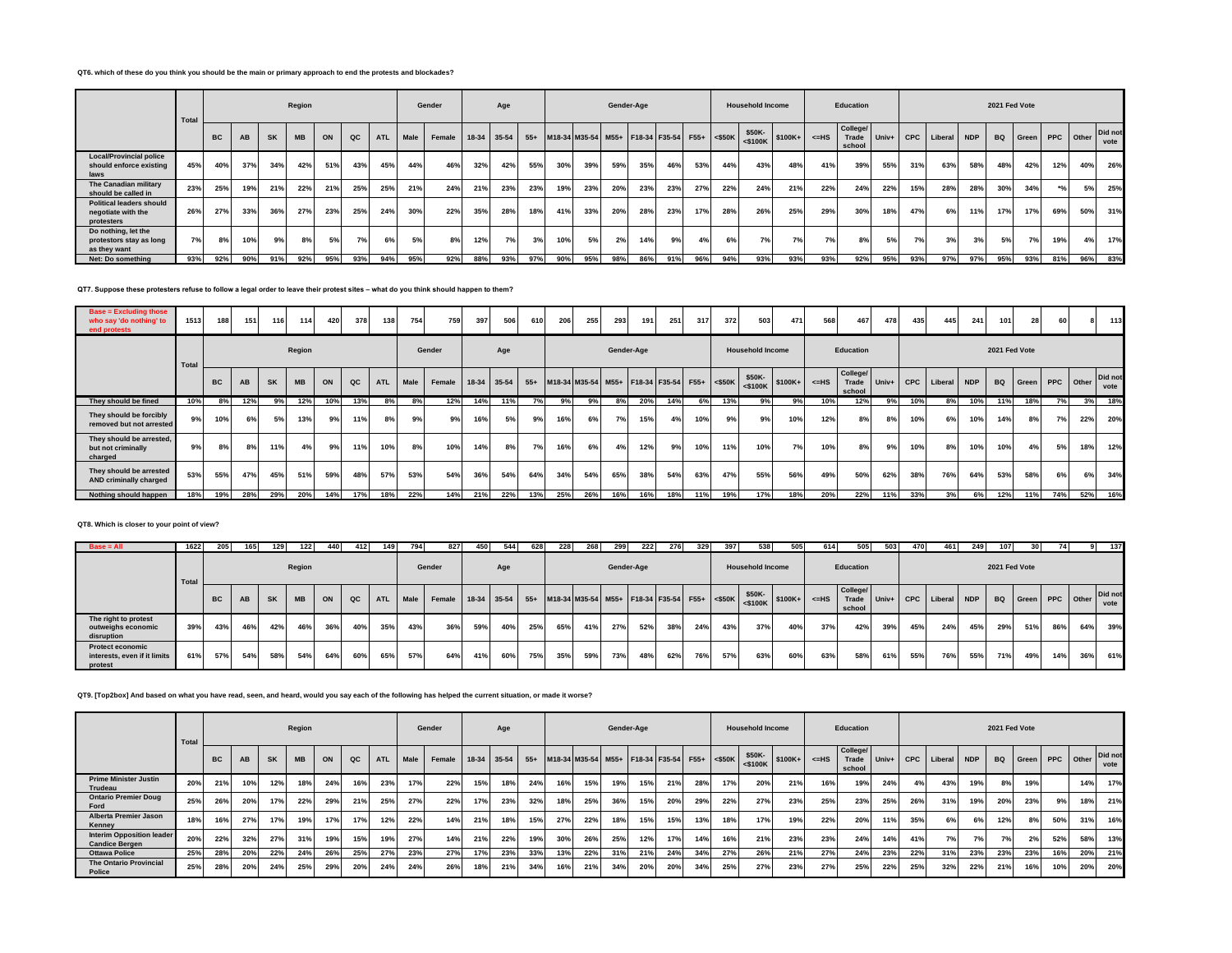## **QT6. which of these do you think you should be the main or primary approach to end the protests and blockades?**

|                                                                     | Total |           |     |           | Region    |     |     |            |      | Gender |     | Age         |       |     |                                              |     | Gender-Age |     |     |     | <b>Household Income</b>                                                                                                                                                                                                                                  |     |         | Education                   |         |     |                 |     | 2021 Fed Vote |       |     |           |                 |
|---------------------------------------------------------------------|-------|-----------|-----|-----------|-----------|-----|-----|------------|------|--------|-----|-------------|-------|-----|----------------------------------------------|-----|------------|-----|-----|-----|----------------------------------------------------------------------------------------------------------------------------------------------------------------------------------------------------------------------------------------------------------|-----|---------|-----------------------------|---------|-----|-----------------|-----|---------------|-------|-----|-----------|-----------------|
|                                                                     |       | <b>BC</b> | AB  | <b>SK</b> | <b>MB</b> | ON  | QC  | <b>ATL</b> | Male | Female |     | 18-34 35-54 | $55+$ |     | M18-34 M35-54 M55+ F18-34 F35-54 F55+ <\$50K |     |            |     |     |     | \$50K-<br>$\frac{1}{201}$ <\$100K \end{brac{\$100K+ \end{brac{\$100K+ \end{brac{\$100K+ \end{brac{\$100K+ \end{brac{\$100K+ \end{brac{\$100K+ \end{brac{\$100K+ \end{brac{\$100K+ \end{brac{\$100K+ \end{brac{\$100K+ \end{brac{\$100K+ \end{brac{\$100K |     | $<=$ HS | College/<br>Trade<br>school | $Univ+$ |     | CPC Liberal NDP |     | <b>BQ</b>     | Green |     | PPC Other | Did not<br>vote |
| <b>Local/Provincial police</b><br>should enforce existing<br>laws   | 45%   | 40%       | 37% | 34%       | 42%       | 51% | 43% | 45%        | 44%  | 46%    | 32% | 42%         | 55%   | 30% | 39%                                          | 59% | 35%        | 46% | 53% | 44% | 43%                                                                                                                                                                                                                                                      | 48% | 41%     | 39%                         | 55%     | 31% | 63%             | 58% | 48%           | 42%   | 12% | 40%       | 26%             |
| The Canadian military<br>should be called in                        | 23%   | 25%       | 19% | 21%       | 22%       | 21% | 25% | 25%        | 21%  | 24%    | 21% | 23%         | 23%   | 19% | 23%                                          | 20% | 23%        | 23% | 27% | 22% | 24%                                                                                                                                                                                                                                                      | 21% | 22%     | 24%                         | 22%     | 15% | 28%             | 28% | 30%           | 34%   |     | 5%        | 25%             |
| <b>Political leaders should</b><br>negotiate with the<br>protesters | 26%   | 27%       | 33% | 36%       | 27%       | 23% | 25% | 24%        | 30%  | 22%    | 35% | 28%         | 18%   | 41% | 33%                                          | 20% | 28%        | 23% | 17% | 28% | 26%                                                                                                                                                                                                                                                      | 25% | 29%     | 30%                         | 18%     | 47% | 6%              | 11% | 17%           | 17%   | 69% | 50%       | 31%             |
| Do nothing, let the<br>protestors stay as long<br>as they want      | 7%    | 8%        | 10% | 9%        | 8%        | 5%  | 7%  | 6%         | 5%   | 8%     | 12% | 7%          | 3%    | 10% | 5%                                           | 2%  | 14%        | 9%  | 4%  | 6%  | 7%                                                                                                                                                                                                                                                       | 7%  | 7%      | 8%                          | 5%      | 7%  | 3%              | 3%  | 5%            | 7%    | 19% | 4%        | 17%             |
| Net: Do something                                                   | 93%   | 92%       | 90% | 91%       | 92%       | 95% | 93% | 94%        | 95%  | 92%    | 88% | 93%         | 97%   | 90% | 95%                                          | 98% | 86%        | 91% | 96% | 94% | 93%                                                                                                                                                                                                                                                      | 93% | 93%     | 92%                         | 95%     | 93% | 97%             | 97% | 95%           | 93%   | 81% | 96%       | 83%             |

**QT7. Suppose these protesters refuse to follow a legal order to leave their protest sites – what do you think should happen to them?**

| <b>Base = Excluding those</b><br>who say 'do nothing' to<br>end protests | 1513  | 188       | 151       | 116       | 114       | 420 | 378           | 138        | 754  | 759    | 397 | 506         | 610   | 206 | 255 | 293 | 191 <sup>1</sup> | 251                                          | 317 | 372 | 503                     | 471      | 568     | 467                         | 478                            | 435 | 445         | 241        | 101           | 28                        | 60  |     | 113             |
|--------------------------------------------------------------------------|-------|-----------|-----------|-----------|-----------|-----|---------------|------------|------|--------|-----|-------------|-------|-----|-----|-----|------------------|----------------------------------------------|-----|-----|-------------------------|----------|---------|-----------------------------|--------------------------------|-----|-------------|------------|---------------|---------------------------|-----|-----|-----------------|
|                                                                          | Total |           |           |           | Region    |     |               |            |      | Gender |     | Age         |       |     |     |     | Gender-Age       |                                              |     |     | <b>Household Income</b> |          |         | Education                   |                                |     |             |            | 2021 Fed Vote |                           |     |     |                 |
|                                                                          |       | <b>BC</b> | <b>AB</b> | <b>SK</b> | <b>MB</b> | ON  | $_{\alpha c}$ | <b>ATL</b> | Male | Female |     | 18-34 35-54 | $55+$ |     |     |     |                  | M18-34 M35-54 M55+ F18-34 F35-54 F55+ <\$50K |     |     | \$50K-<br>$<$ \$100K    | $$100K+$ | $<=$ HS | College/<br>Trade<br>school | Univ+ $\overline{\phantom{a}}$ |     | CPC Liberal | <b>NDP</b> |               | <b>BQ</b> Green PPC Other |     |     | Did not<br>vote |
| They should be fined                                                     | 10%   | 8%        | 12%       | 9%        | 12%       | 10% | 13%           | 8%         | 8%   | 12%    | 14% | 11%         | 7%    | 9%  | 9%  | 8%  | 20%              | 14%                                          | 6%  | 13% | 9%                      | 9%       | 10%     | 12%                         | 9%                             | 10% | 8%          | 10%        | 11%           | 18%                       | 7%  | 3%  | 18%             |
| They should be forcibly<br>removed but not arrested                      | 9%    | 10%       | 6%        | 5%        | 13%       | 9%  | 11%           | 8%         | 9%   | 9%     | 16% | 5%          | 9%    | 16% | 6%  | 7%  | 15%              | 4%                                           | 10% | 9%  | 9%                      | 10%      | 12%     | 8%                          | 8%                             | 10% | 6%          | 10%        | 14%           | 8%                        | 7%  | 22% | 20%             |
| They should be arrested,<br>but not criminally<br>charged                | 9%    | 8%        | 8%        | 11%       | 4%        | 9%  | 11%           | 10%        | 8%   | 10%    | 14% | 8%          | 7%    | 16% | 6%  | 4%  | 12%              | 9%                                           | 10% | 11% | 10%                     | 7%       | 10%     | 8%                          | 9%1                            | 10% | 8%          | 10%        | 10%           | 4%                        | 5%  | 18% | 12%             |
| They should be arrested<br>AND criminally charged                        | 53%   | 55%       | 47%       | 45%       | 51%       | 59% | 48%           | 57%        | 53%  | 54%    | 36% | 54%         | 64%   | 34% | 54% | 65% | 38%              | 54%                                          | 63% | 47% | 55%                     | 56%      | 49%     | 50%                         | 62%                            | 38% | 76%         | 64%        | 53%           | 58%                       | 6%  | 6%  | 34%             |
| Nothing should happen                                                    |       | 19%       | 28%       | 29%       | 20%       | 14% | 17%           | 18%        | 22%  | 14%    | 21% | 22%         | 13%   | 25% | 26% | 16% | 16%              | 18%                                          | 11% | 19% | 17%                     | 18%      | 20%     | 22%                         | 11%                            | 33% | 3%          | 6%         | 12%           | 11%                       | 74% | 52% | 16%             |

### **QT8. Which is closer to your point of view?**

| $Base = All$                                                       | 1622  | 205       | 165       | 129       | 122       | 440 | 412 | 149        | 794  | 827                                                                                     | 450 | 544 | 628 | 228 | 268 | 299 | 222        | 276 | 329 | 397 | 538                     | 505 | 614     | 505                         | 503     | 470 | 461             | 249 | 107       | 30 <sup>1</sup> |     |     | 137             |
|--------------------------------------------------------------------|-------|-----------|-----------|-----------|-----------|-----|-----|------------|------|-----------------------------------------------------------------------------------------|-----|-----|-----|-----|-----|-----|------------|-----|-----|-----|-------------------------|-----|---------|-----------------------------|---------|-----|-----------------|-----|-----------|-----------------|-----|-----|-----------------|
|                                                                    | Total |           |           |           | Region    |     |     |            |      | Gender                                                                                  |     | Age |     |     |     |     | Gender-Age |     |     |     | <b>Household Income</b> |     |         | Education                   |         |     |                 |     |           | 2021 Fed Vote   |     |     |                 |
|                                                                    |       | <b>BC</b> | <b>AB</b> | <b>SK</b> | <b>MB</b> | ON  | QC  | <b>ATL</b> | Male | Female   18-34   35-54   55+   M18-34   M35-54   M55+   F18-34   F35-54   F55+   <\$50K |     |     |     |     |     |     |            |     |     |     | $$50K-<5100K$ \$100K+   |     | $<=$ HS | College/<br>Trade<br>school | $Univ+$ |     | CPC Liberal NDP |     | <b>BQ</b> | Green PPC Other |     |     | Did not<br>vote |
| The right to protest<br>outweighs economic<br>disruption           | 39%   | 43%       | 46%       | 42%       | 46%       | 36% | 40% | 35%        | 43%  | 36%                                                                                     | 59% | 40% | 25% | 65% | 41% | 27% | 52%        | 38% | 24% | 43% | 37%                     | 40% | 37%     | 42%                         | 39%     | 45% | 24%             | 45% | 29%       | 51%             | 86% | 64% | 39%             |
| <b>Protect economic</b><br>interests, even if it limits<br>protest | 61%   | 57%       | 54%       | 58%       | 54%       | 64% | 60% | 65%        | 57%  | 64%                                                                                     | 41% | 60% | 75% | 35% | 59% | 73% | 48%        | 62% | 76% | 57% | 63%                     | 60% | 63%     | 58%                         | 61%     | 55% | 76%             | 55% | 71%       | 49%             | 14% | 36% | 61%             |

**QT9. [Top2box] And based on what you have read, seen, and heard, would you say each of the following has helped the current situation, or made it worse?**

|                                                           | Total |           |           |           | Region    |     |     |            |      | Gender |     | Age         |       |     |                                              |     | Gender-Age |     |     |     | <b>Household Income</b>             |     |         | Education                   |     |     |                   |            | 2021 Fed Vote |                           |     |     |                 |
|-----------------------------------------------------------|-------|-----------|-----------|-----------|-----------|-----|-----|------------|------|--------|-----|-------------|-------|-----|----------------------------------------------|-----|------------|-----|-----|-----|-------------------------------------|-----|---------|-----------------------------|-----|-----|-------------------|------------|---------------|---------------------------|-----|-----|-----------------|
|                                                           |       | <b>BC</b> | <b>AB</b> | <b>SK</b> | <b>MB</b> | ON  | QC  | <b>ATL</b> | Male | Female |     | 18-34 35-54 | $55+$ |     | M18-34 M35-54 M55+ F18-34 F35-54 F55+ <\$50K |     |            |     |     |     | \$50K-<br>$\frac{1}{5100K}$ \$100K+ |     | $<=$ HS | College/<br>Trade<br>school |     |     | Univ+ CPC Liberal | <b>NDP</b> |               | <b>BQ</b> Green PPC Other |     |     | Did not<br>vote |
| <b>Prime Minister Justin</b><br>Trudeau                   | 20%   | 21%       | 10%       | 12%       | 18%       | 24% | 16% | 23%        | 17%  | 22%    | 15% | 18%         | 24%   | 16% | 15%                                          | 19% | 15%        | 21% | 28% | 17% | 20%                                 | 21% | 16%     | 19%                         | 24% | 4%  | 43%               | 19%        | 8%            | 19%                       |     | 14% | 17%             |
| <b>Ontario Premier Doug</b><br>Ford                       | 25%   | 26%       | 20%       | 17%       | 22%       | 29% | 21% | 25%        | 27%  | 22%    | 17% | 23%         | 32%   | 18% | 25%                                          | 36% | 15%        | 20% | 29% | 22% | 27%                                 | 23% | 25%     | 23%                         | 25% | 26% | 31%               | 19%        | 20%           | 23%                       | 9%  | 18% | 21%             |
| <b>Alberta Premier Jason</b><br>Kenney                    |       | 16%       | 27%       | 17%       | 19%       | 17% | 17% | 12%        | 22%  | 14%    | 21% | 18%         | 15%   | 27% | 22%                                          | 18% | 15%        | 15% | 13% | 18% | 17%                                 | 19% | 22%     | 20%                         | 11% | 35% | 6%                | 6%         | 12%           |                           | 50% | 31% | 16%             |
| <b>Interim Opposition leader</b><br><b>Candice Bergen</b> | 20%   | 22%       | 32%       | 27%       | 31%       | 19% | 15% | 19%        | 27%  | 14%    | 21% | 22%         | 19%   | 30% | 26%                                          | 25% | 12%        | 17% | 14% | 16% | 21%                                 | 23% | 23%     | 24%                         | 14% | 41% | 7%                | 7%         | 7%            | 2%                        | 52% | 58% | 13%             |
| <b>Ottawa Police</b>                                      | 25%   | 28%       | 20%       | 22%       | 24%       | 26% | 25% | 27%        | 23%  | 27%    | 17% | 23%         | 33%   | 13% | 22%                                          | 31% | 21%        | 24% | 34% | 27% | 26%                                 | 21% | 27%     | 24%                         | 23% | 22% | 31%               | 23%        | 23%           | 23%                       | 16% | 20% | 21%             |
| <b>The Ontario Provincial</b><br><b>Police</b>            | 25%   | 28%       | 20%       | 24%       | 25%       | 29% | 20% | 24%        | 24%  | 26%    | 18% | 21%         | 34%   | 16% | 21%                                          | 34% | 20%        | 20% | 34% | 25% | 27%                                 | 23% | 27%     | 25%                         | 22% | 25% | 32%               | 22%        | 21%           | 16%                       | 10% | 20% | 20%             |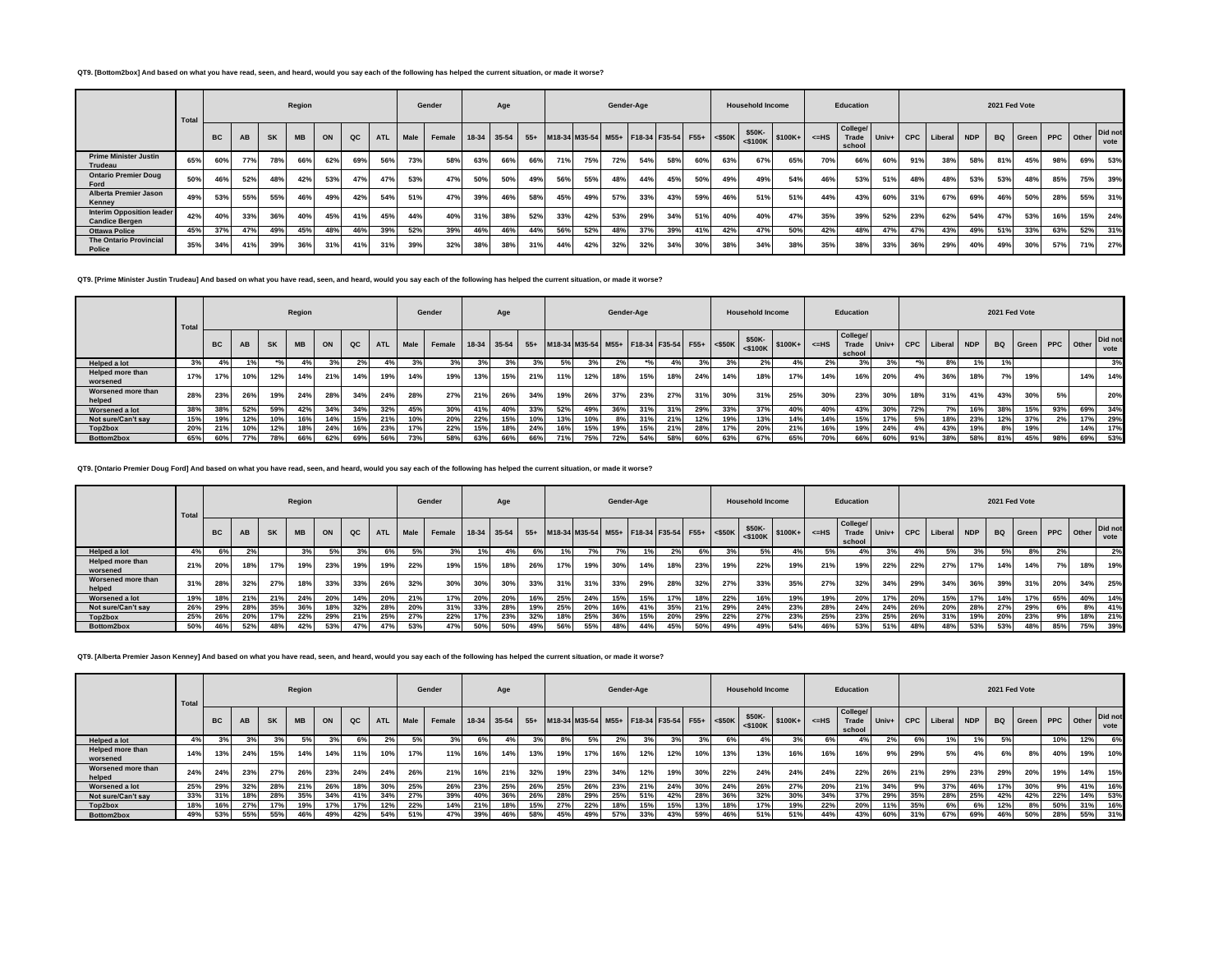### **QT9. [Bottom2box] And based on what you have read, seen, and heard, would you say each of the following has helped the current situation, or made it worse?**

|                                                           | Total |           |           |           | Region    |     |     |            |      | Gender                 |     | Age |     |     |                                              | Gender-Age |     |     |     |     | <b>Household Income</b> |                              |       | Education                          |                      |     |                 |     | 2021 Fed Vote |     |                    |     |                 |
|-----------------------------------------------------------|-------|-----------|-----------|-----------|-----------|-----|-----|------------|------|------------------------|-----|-----|-----|-----|----------------------------------------------|------------|-----|-----|-----|-----|-------------------------|------------------------------|-------|------------------------------------|----------------------|-----|-----------------|-----|---------------|-----|--------------------|-----|-----------------|
|                                                           |       | <b>BC</b> | <b>AB</b> | <b>SK</b> | <b>MB</b> | ON  | QC  | <b>ATL</b> | Male | Female 18-34 35-54 55+ |     |     |     |     | M18-34 M35-54 M55+ F18-34 F35-54 F55+ <\$50K |            |     |     |     |     |                         | $$50K-$<br>$<$100K$ $$100K+$ | $=HS$ | <b>College/</b><br>Trade<br>school | Univ+ $\overline{ }$ |     | CPC Liberal NDP |     |               |     | BQ Green PPC Other |     | Did not<br>vote |
| <b>Prime Minister Justin</b><br>Trudeau                   | 65%   | 60%       | 77%       | 78%       | 66%       | 62% | 69% | 56%        | 73%  | 58%                    | 63% | 66% | 66% | 71% | 75%                                          | 72%        | 54% | 58% | 60% | 63% | 67%                     | 65%                          | 70%   | 66%                                | 60%                  | 91% | 38%             | 58% | 81%           | 45% | 98%                | 69% | 53%             |
| <b>Ontario Premier Doug</b><br>Ford                       | 50%   | 46%       | 52%       | 48%       | 42%       | 53% | 47% | 47%        | 53%  | 47%                    | 50% | 50% | 49% | 56% | 55%                                          | 48%        | 44% | 45% | 50% | 49% | 49%                     | 54%                          | 46%   | 53%                                | 51%                  | 48% | 48%             | 53% | 53%           | 48% | 85%                | 75% | 39%             |
| <b>Alberta Premier Jason</b><br>Kenney                    | 49%   | 53%       | 55%       | 55%       | 46%       | 49% | 42% | 54%        | 51%  | 47%                    | 39% | 46% | 58% | 45% | 49%                                          | 57%        | 33% | 43% | 59% | 46% | 51%                     | 51%                          | 44%   | 43%                                | 60%                  | 31% | 67%             | 69% | 46%           | 50% | 28%                | 55% | 31%             |
| <b>Interim Opposition leader</b><br><b>Candice Bergen</b> | 42%   | 40%       | 33%       | 36%       | 40%       | 45% | 41% | 45%        | 44%  | 40%                    | 31% | 38% | 52% | 33% | 42%                                          | 53%        | 29% | 34% | 51% | 40% | 40%                     | 47%                          | 35%   | 39%                                | 52%                  | 23% | 62%             | 54% | 47%           | 53% | 16%                | 15% | 24%             |
| <b>Ottawa Police</b>                                      | 45%   | 37%       | 47%       | 49%       | 45%       | 48% | 46% | 39%        | 52%  | 39%                    | 46% | 46% | 44% | 56% | 52%                                          | 48%        | 37% | 39% | 41% | 42% | 47%                     | 50%                          | 42%   | 48%                                | 47%                  | 47% | 43%             | 49% | 51%           | 33% | 63%                | 52% | 31%             |
| <b>The Ontario Provincial</b><br><b>Police</b>            | 35%   | 34%       | 41%       | 39%       | 36%       | 31% | 41% | 31%        | 39%  | 32%                    | 38% | 38% | 31% | 44% | 42%                                          | 32%        | 32% | 34% | 30% | 38% | 34%                     | 38%                          | 35%   | 38%                                | 33%                  | 36% | 29%             | 40% | 49%           | 30% | 57%                | 71% | 27%             |

**QT9. [Prime Minister Justin Trudeau] And based on what you have read, seen, and heard, would you say each of the following has helped the current situation, or made it worse?**

|                                     | Total |           |            |           | Region    |     |     |            |             | Gender             |     | Age |     |     |                                                  |     | Gender-Age |      |     |     | <b>Household Income</b> |     |         | Education                   |     |     |                   |            | 2021 Fed Vote |     |     |                    |                 |
|-------------------------------------|-------|-----------|------------|-----------|-----------|-----|-----|------------|-------------|--------------------|-----|-----|-----|-----|--------------------------------------------------|-----|------------|------|-----|-----|-------------------------|-----|---------|-----------------------------|-----|-----|-------------------|------------|---------------|-----|-----|--------------------|-----------------|
|                                     |       | <b>BC</b> | <b>AB</b>  | <b>SK</b> | <b>MB</b> | ON  | QC  | <b>ATL</b> | <b>Male</b> | Female 18-34 35-54 |     |     |     |     | 55+ M18-34 M35-54 M55+ F18-34 F35-54 F55+ <\$50K |     |            |      |     |     | \$50K-                  |     | $<=$ HS | College/<br>Trade<br>school |     |     | Univ+ CPC Liberal | <b>NDP</b> |               |     |     | BQ Green PPC Other | Did not<br>vote |
| Helped a lot                        | 3%    |           |            |           | 4%        |     | 2%  | $4\%$      |             |                    |     | 3%  | 3%  | 5%  |                                                  |     |            | 4% I | 3%  |     | 2%                      |     | 2%      | 3%                          | 3%  |     | 8%                | 1%         |               |     |     |                    | 3%              |
| <b>Helped more than</b><br>worsened | 17%   | 17%       | 10%        | 12%       | 14%       | 21% | 14% | 19%        | 14%         | 19%                | 13% | 15% | 21% | 11% | 12%                                              | 18% | 15%        | 18%  | 24% | 14% | 18%                     | 17% | 14%     | 16%                         | 20% | 4%  | 36%               | 18%        | 7%            | 19% |     | 14%                | 14%             |
| Worsened more than<br>helped        | 28%   | 23%       | 26%        | 19%       | 24%       | 28% | 34% | 24%        | 28%         | 27%                | 21% | 26% | 34% | 19% | 26%                                              | 37% | 23%        | 27%  | 31% | 30% | 31%                     | 25% | 30%     | 23%                         | 30% | 18% | 31%               | 41%        | 43%           | 30% | 5%  |                    | 20%             |
| Worsened a lot                      | 38%   | 38%       | 52%        | 59%       | 42%       | 34% | 34% | 32%        | 45%         | 30%                | 41% | 40% | 33% | 52% | 49%                                              | 36% | 31%        | 31%  | 29% | 33% | 37%                     | 40% | 40%     | 43%                         | 30% | 72% | 7%                | 16%        | 38%           | 15% | 93% | 69%                | 34%             |
| Not sure/Can't sav                  | 15%   | 19%       | 12%        | 10%       | 16%       | 14% | 15% | 21%        | 10%         | 20%                | 22% | 15% | 10% | 13% | 10%                                              | 8%  | 31%        | 21%  | 12% | 19% | 13%                     | 14% | 14%     | 15%                         | 17% | 5%  | 18%               | 23%        | 12%           | 37% | 2%  | 17%                | 29%             |
| Top2box                             | 20%   | 21%       | 10%        | 12%       | 18%       | 24% | 16% | 23%        | 17%         | 22%                | 15% | 18% | 24% | 16% | 15%                                              | 19% | 15%        | 21%  | 28% | 17% | 20%                     | 21% | 16%     | 19%                         | 24% | 4%  | 43%               | 19%        | 8%            | 19% |     | 14%                | 17%             |
| Bottom2box                          | 65%   | 60%       | <b>77%</b> | 78%       | 66%       | 62% | 69% | 56%        | 73%         | 58%                | 63% | 66% | 66% |     | 75%                                              | 72% | 54%        | 58%  | 60% | 63% | 67%                     | 65% | 70%     | 66%                         | 60% | 91% | 38%               | 58%        | 81%           | 45% | 98% | 69%                | 53%             |

**QT9. [Ontario Premier Doug Ford] And based on what you have read, seen, and heard, would you say each of the following has helped the current situation, or made it worse?**

|                                     | Total |           |           |           | Region    |     |               |            |             | Gender             |     | Age |     |     |                                                  |     | Gender-Age |     |     |     | <b>Household Income</b>               |     |         | Education                   |     |     |                   |            | 2021 Fed Vote |                    |     |     |                 |
|-------------------------------------|-------|-----------|-----------|-----------|-----------|-----|---------------|------------|-------------|--------------------|-----|-----|-----|-----|--------------------------------------------------|-----|------------|-----|-----|-----|---------------------------------------|-----|---------|-----------------------------|-----|-----|-------------------|------------|---------------|--------------------|-----|-----|-----------------|
|                                     |       | <b>BC</b> | <b>AB</b> | <b>SK</b> | <b>MB</b> | ON  | $_{\alpha c}$ | <b>ATL</b> | <b>Male</b> | Female 18-34 35-54 |     |     |     |     | 55+ M18-34 M35-54 M55+ F18-34 F35-54 F55+ <\$50K |     |            |     |     |     | $-24$ \$50K-<br>\$100K+<br>$<$ \$100K |     | $<=$ HS | College/<br>Trade<br>school |     |     | Univ+ CPC Liberal | <b>NDP</b> |               | BQ Green PPC Other |     |     | Did not<br>vote |
| Helped a lot                        | 4%    |           | 2%        |           | 3%        | 5%  | 3%            | 6% I       | <b>5%</b>   |                    |     | 4%  | 6%  |     |                                                  |     |            | 2%  | 6%  |     | 5%                                    |     | 5%      | 4%                          | 3%  | 4%  | 5%                |            |               | 8%                 | 2%  |     | 2%              |
| <b>Helped more than</b><br>worsened | 21%   | 20%       | 18%       | 17%       | 19%       | 23% | 19%           | 19%        | 22%         | 19%                | 15% | 18% | 26% | 17% | 19%                                              | 30% | 14%        | 18% | 23% | 19% | 22%                                   | 19% | 21%     | 19%                         | 22% | 22% | 27%               | 17%        | 14%           | 14%                | 7%1 | 18% | 19%             |
| Worsened more than<br>helped        | 31%   | 28%       | 32%       | 27%       | 18%       | 33% | 33%           | 26%        | 32%         | 30%                | 30% | 30% | 33% | 31% | 31%                                              | 33% | 29%        | 28% | 32% | 27% | 33%                                   | 35% | 27%     | 32%                         | 34% | 29% | 34%               | 36%        | 39%           | 31%                | 20% | 34% | 25%             |
| Worsened a lot                      | 19%   | 18%       | 21%       | 21%       | 24%       | 20% | 14%           | 20%        | 21%         | 17%                | 20% | 20% | 16% | 25% | 24%                                              | 15% | 15%        | 17% | 18% | 22% | 16%                                   | 19% | 19%     | 20%                         | 17% | 20% | 15%               | 17%        | 14%           | 17%                | 65% | 40% | 14%             |
| Not sure/Can't sav                  | 26%   | 29%       | 28%       | 35%       | 36%       | 18% | 32%           | 28%        | 20%         | 31%                | 33% | 28% | 19% | 25% | 20%                                              | 16% | 41%        | 35% | 21% | 29% | 24%                                   | 23% | 28%     | 24%                         | 24% | 26% | 20%               | 28%        | 27%           | 29%                | 6%  | 8%  | 41%             |
| Top2box                             | 25%   | 26%       | 20%       | 17%       | 22%       | 29% | 21%           | 25%        | 27%         | 22%                | 17% | 23% | 32% | 18% | 25%                                              | 36% | 15%        | 20% | 29% | 22% | 27%                                   | 23% | 25%     | 23%                         | 25% | 26% | 31%               | 19%        | 20%           | 23%                | 9%  | 18% | 21%             |
| Bottom2box                          | 50%   | 46%       | 52%       | 48%       | 42%       | 53% | 47%           | 47%        | 53%         | 47%                | 50% | 50% | 49% | 56% | 55%                                              | 48% | 44%        | 45% | 50% | 49% | 49%                                   | 54% | 46%     | 53%                         | 51% | 48% | 48%               | 53%        | 53%           | 48%                | 85% | 75% | 39%             |

**QT9. [Alberta Premier Jason Kenney] And based on what you have read, seen, and heard, would you say each of the following has helped the current situation, or made it worse?**

|                              | Total |           |     |           | Region    |     |               |            |      | Gender             |     | Age |     |     |     |     | Gender-Age                                       |     |     |     | <b>Household Income</b>                     |     |         | Education                   |     |     |                   |            | 2021 Fed Vote |                           |     |     |                 |
|------------------------------|-------|-----------|-----|-----------|-----------|-----|---------------|------------|------|--------------------|-----|-----|-----|-----|-----|-----|--------------------------------------------------|-----|-----|-----|---------------------------------------------|-----|---------|-----------------------------|-----|-----|-------------------|------------|---------------|---------------------------|-----|-----|-----------------|
|                              |       | <b>BC</b> | AB  | <b>SK</b> | <b>MB</b> | ON  | $_{\alpha c}$ | <b>ATL</b> | Male | Female 18-34 35-54 |     |     |     |     |     |     | 55+ M18-34 M35-54 M55+ F18-34 F35-54 F55+ <\$50K |     |     |     | \$50K-<br>$ \cdot $ $\leq$ \$100K + $\vert$ |     | $<=$ HS | College/<br>Trade<br>school |     |     | Univ+ CPC Liberal | <b>NDP</b> |               | <b>BQ</b> Green PPC Other |     |     | Did not<br>vote |
| Helped a lot                 | 4%    |           | 3%  |           | 5%        |     | 6%            |            |      |                    |     |     | 3%  | 8%  | 5%  | 2%  | 3%                                               | 3%  | 3%  | 6°  | 4%                                          |     | 6%      |                             | 2%  | 6%  |                   |            |               |                           | 10% | 12% | 6%              |
| Helped more than<br>worsened | 14%   | 13%       | 24% | 15%       | 14%       | 14% | 11%           | 10%        | 17%  | 11%                | 16% | 14% | 13% | 19% | 17% | 16% | 12%                                              | 12% | 10% | 13% | 13%                                         | 16% | 16%     | 16%                         | 9%  | 29% | 5%                |            | 6%            |                           | 40% | 19% | 10%             |
| Worsened more than<br>helped | 24%   | 24%       | 23% | 27%       | 26%       | 23% | 24%           | 24%        | 26%  | 21%                | 16% | 21% | 32% | 19% | 23% | 34% | 12%                                              | 19% | 30% | 22% | 24%                                         | 24% | 24%     | 22%                         | 26% | 21% | 29%               | 23%        | 29%           | 20%                       | 19% | 14% | 15%             |
| Worsened a lot               | 25%   | 29%       | 32% | 28%       | 21%       | 26% | 18%           | 30%        | 25%  | 26%                | 23% | 25% | 26% | 25% | 26% | 23% | 21%                                              | 24% | 30% | 24% | 26%                                         | 27% | 20%     | 21%                         | 34% | 9%  | 37%               | 46%        | 17%           | 30%                       | 9%  | 41% | 16%             |
| Not sure/Can't sav           | 33%   | 31%       | 18% | 28%       | 35%       | 34% | 41%           | 34%        | 27%  | 39%                | 40% | 36% | 26% | 28% | 29% | 25% | 51%                                              | 42% | 28% | 36% | 32%                                         | 30% | 34%     | 37%                         | 29% | 35% | 28%               | 25%        | 42%           | 42%                       | 22% | 14% | 53%             |
| Top2box                      |       | 16%       | 27% | 17%       | 19%       | 17% | 17%           | 12%        | 22%  | 14%                | 21% | 18% | 15% | 27% | 22% | 18% | 15%                                              | 15% | 13% | 18% | 17%                                         | 19% | 22%     | 20%                         | 11% | 35% | 6%                | 6%         | 12%           | 8%                        | 50% | 31% | 16%             |
| Bottom2box                   | 49%   | 53%       | 55% | 55%       | 46%       | 49% | 42%           | 54%        | 51%  | 47%                | 39% | 46% | 58% | 45% | 49% | 57% | 33%                                              | 43% | 59% | 46% | 51%                                         | 51% | 44%     | 43%                         | 60% | 31% | 67%               | 69%        | 46%           | 50%                       | 28% | 55% | 31%             |